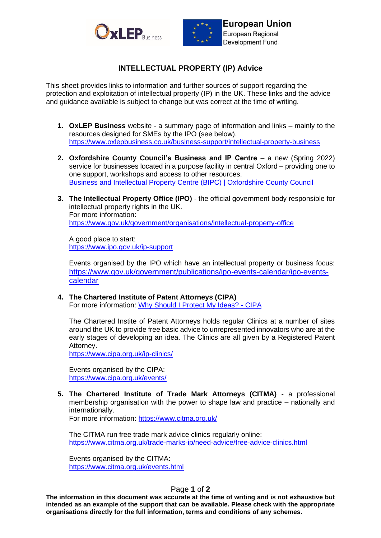



## **INTELLECTUAL PROPERTY (IP) Advice**

This sheet provides links to information and further sources of support regarding the protection and exploitation of intellectual property (IP) in the UK. These links and the advice and guidance available is subject to change but was correct at the time of writing.

- **1. OxLEP Business** website a summary page of information and links mainly to the resources designed for SMEs by the IPO (see below). <https://www.oxlepbusiness.co.uk/business-support/intellectual-property-business>
- **2. Oxfordshire County Council's Business and IP Centre** a new (Spring 2022) service for businesses located in a purpose facility in central Oxford – providing one to one support, workshops and access to other resources. [Business and Intellectual Property Centre \(BIPC\) | Oxfordshire County Council](https://www.oxfordshire.gov.uk/business-and-intellectual-property-centre-bipc)
- **3. The Intellectual Property Office (IPO)** the official government body responsible for intellectual property rights in the UK. For more information: <https://www.gov.uk/government/organisations/intellectual-property-office>

A good place to start: <https://www.ipo.gov.uk/ip-support>

Events organised by the IPO which have an intellectual property or business focus: [https://www.gov.uk/government/publications/ipo-events-calendar/ipo-events](https://www.gov.uk/government/publications/ipo-events-calendar/ipo-events-calendar)[calendar](https://www.gov.uk/government/publications/ipo-events-calendar/ipo-events-calendar)

**4. The Chartered Institute of Patent Attorneys (CIPA)** For more information: [Why Should I Protect My Ideas? -](https://www.cipa.org.uk/why-should-i-protect-my-ideas/) CIPA

The Chartered Instite of Patent Attorneys holds regular Clinics at a number of sites around the UK to provide free basic advice to unrepresented innovators who are at the early stages of developing an idea. The Clinics are all given by a Registered Patent Attorney.

<https://www.cipa.org.uk/ip-clinics/>

Events organised by the CIPA: <https://www.cipa.org.uk/events/>

**5. The Chartered Institute of Trade Mark Attorneys (CITMA)** - a professional membership organisation with the power to shape law and practice – nationally and internationally.

For more information:<https://www.citma.org.uk/>

The CITMA run free trade mark advice clinics regularly online: <https://www.citma.org.uk/trade-marks-ip/need-advice/free-advice-clinics.html>

Events organised by the CITMA: <https://www.citma.org.uk/events.html>

## Page **1** of **2**

**The information in this document was accurate at the time of writing and is not exhaustive but intended as an example of the support that can be available. Please check with the appropriate organisations directly for the full information, terms and conditions of any schemes.**